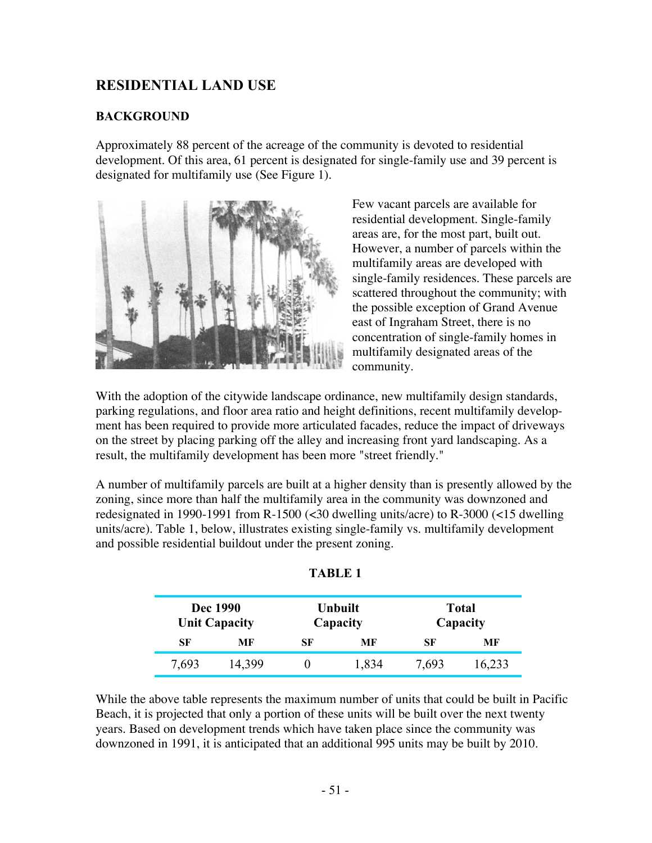# **RESIDENTIAL LAND USE**

#### **BACKGROUND**

Approximately 88 percent of the acreage of the community is devoted to residential development. Of this area, 61 percent is designated for single-family use and 39 percent is designated for multifamily use (See Figure 1).



Few vacant parcels are available for residential development. Single-family areas are, for the most part, built out. However, a number of parcels within the multifamily areas are developed with single-family residences. These parcels are scattered throughout the community; with the possible exception of Grand Avenue east of Ingraham Street, there is no concentration of single-family homes in multifamily designated areas of the community.

With the adoption of the citywide landscape ordinance, new multifamily design standards, parking regulations, and floor area ratio and height definitions, recent multifamily development has been required to provide more articulated facades, reduce the impact of driveways on the street by placing parking off the alley and increasing front yard landscaping. As a result, the multifamily development has been more "street friendly."

A number of multifamily parcels are built at a higher density than is presently allowed by the zoning, since more than half the multifamily area in the community was downzoned and redesignated in 1990-1991 from R-1500 (<30 dwelling units/acre) to R-3000 (<15 dwelling units/acre). Table 1, below, illustrates existing single-family vs. multifamily development and possible residential buildout under the present zoning.

| Dec 1990<br><b>Unit Capacity</b> |        |    | <b>Unbuilt</b><br>Capacity | <b>Total</b><br>Capacity |        |  |
|----------------------------------|--------|----|----------------------------|--------------------------|--------|--|
| SF                               | MF     | SF | MF                         | SF                       | MF     |  |
| 7,693                            | 14,399 |    | 1,834                      | 7,693                    | 16,233 |  |

**TABLE 1**

While the above table represents the maximum number of units that could be built in Pacific Beach, it is projected that only a portion of these units will be built over the next twenty years. Based on development trends which have taken place since the community was downzoned in 1991, it is anticipated that an additional 995 units may be built by 2010.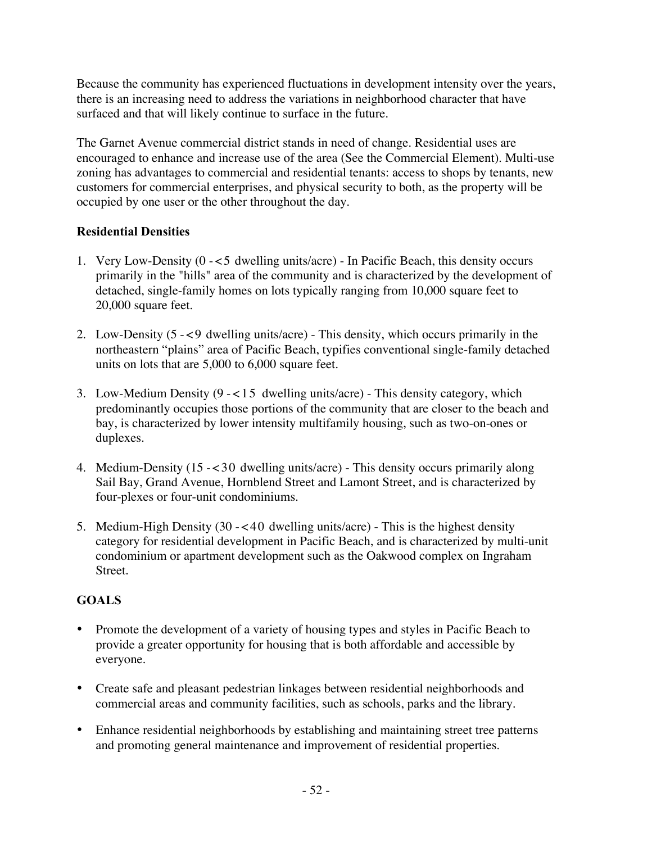Because the community has experienced fluctuations in development intensity over the years, there is an increasing need to address the variations in neighborhood character that have surfaced and that will likely continue to surface in the future.

The Garnet Avenue commercial district stands in need of change. Residential uses are encouraged to enhance and increase use of the area (See the Commercial Element). Multi-use zoning has advantages to commercial and residential tenants: access to shops by tenants, new customers for commercial enterprises, and physical security to both, as the property will be occupied by one user or the other throughout the day.

## **Residential Densities**

- 1. Very Low-Density (0 -<5 dwelling units/acre) In Pacific Beach, this density occurs primarily in the "hills" area of the community and is characterized by the development of detached, single-family homes on lots typically ranging from 10,000 square feet to 20,000 square feet.
- 2. Low-Density (5 -<9 dwelling units/acre) This density, which occurs primarily in the northeastern "plains" area of Pacific Beach, typifies conventional single-family detached units on lots that are 5,000 to 6,000 square feet.
- 3. Low-Medium Density (9 -<15 dwelling units/acre) This density category, which predominantly occupies those portions of the community that are closer to the beach and bay, is characterized by lower intensity multifamily housing, such as two-on-ones or duplexes.
- 4. Medium-Density (15 -<30 dwelling units/acre) This density occurs primarily along Sail Bay, Grand Avenue, Hornblend Street and Lamont Street, and is characterized by four-plexes or four-unit condominiums.
- 5. Medium-High Density (30 -<40 dwelling units/acre) This is the highest density category for residential development in Pacific Beach, and is characterized by multi-unit condominium or apartment development such as the Oakwood complex on Ingraham Street.

# **GOALS**

- Promote the development of a variety of housing types and styles in Pacific Beach to provide a greater opportunity for housing that is both affordable and accessible by everyone.
- Create safe and pleasant pedestrian linkages between residential neighborhoods and commercial areas and community facilities, such as schools, parks and the library.
- Enhance residential neighborhoods by establishing and maintaining street tree patterns and promoting general maintenance and improvement of residential properties.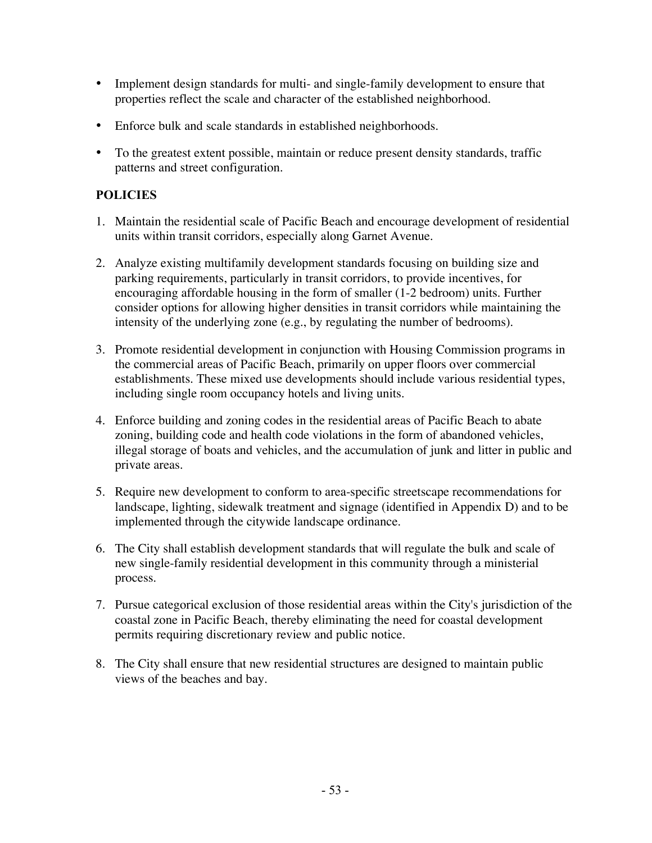- Implement design standards for multi- and single-family development to ensure that properties reflect the scale and character of the established neighborhood.
- Enforce bulk and scale standards in established neighborhoods.
- To the greatest extent possible, maintain or reduce present density standards, traffic patterns and street configuration.

### **POLICIES**

- 1. Maintain the residential scale of Pacific Beach and encourage development of residential units within transit corridors, especially along Garnet Avenue.
- 2. Analyze existing multifamily development standards focusing on building size and parking requirements, particularly in transit corridors, to provide incentives, for encouraging affordable housing in the form of smaller (1-2 bedroom) units. Further consider options for allowing higher densities in transit corridors while maintaining the intensity of the underlying zone (e.g., by regulating the number of bedrooms).
- 3. Promote residential development in conjunction with Housing Commission programs in the commercial areas of Pacific Beach, primarily on upper floors over commercial establishments. These mixed use developments should include various residential types, including single room occupancy hotels and living units.
- 4. Enforce building and zoning codes in the residential areas of Pacific Beach to abate zoning, building code and health code violations in the form of abandoned vehicles, illegal storage of boats and vehicles, and the accumulation of junk and litter in public and private areas.
- 5. Require new development to conform to area-specific streetscape recommendations for landscape, lighting, sidewalk treatment and signage (identified in Appendix D) and to be implemented through the citywide landscape ordinance.
- 6. The City shall establish development standards that will regulate the bulk and scale of new single-family residential development in this community through a ministerial process.
- 7. Pursue categorical exclusion of those residential areas within the City's jurisdiction of the coastal zone in Pacific Beach, thereby eliminating the need for coastal development permits requiring discretionary review and public notice.
- 8. The City shall ensure that new residential structures are designed to maintain public views of the beaches and bay.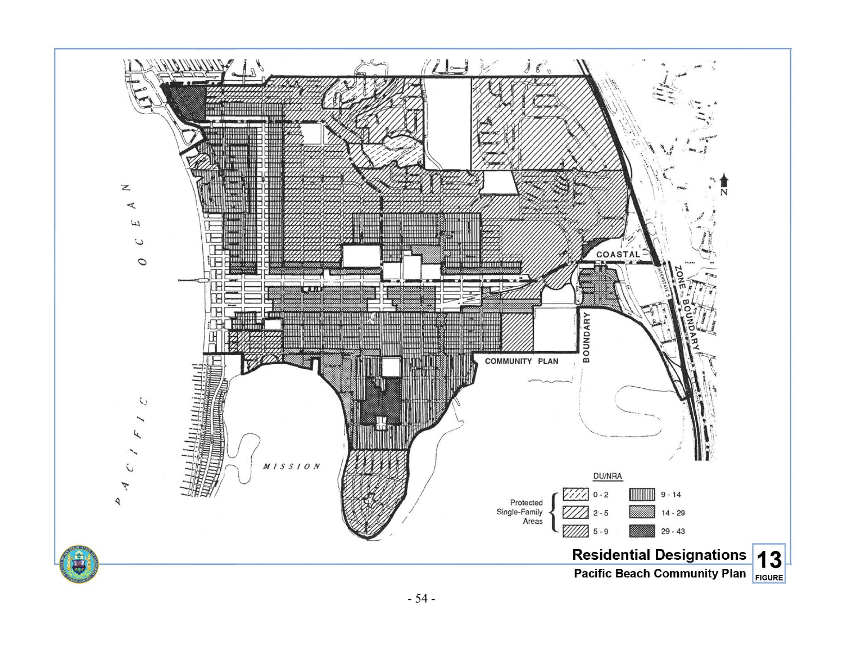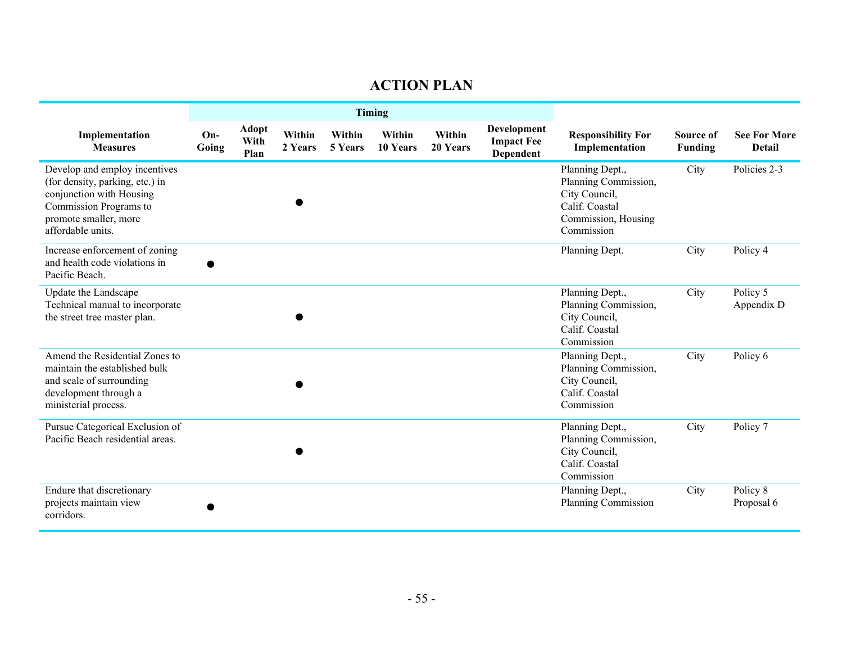# **ACTION PLAN**

|                                                                                                                                                                      | Timing         |                       |                   |                   |                    |                    |                                                      |                                                                                                                 |                      |                                      |
|----------------------------------------------------------------------------------------------------------------------------------------------------------------------|----------------|-----------------------|-------------------|-------------------|--------------------|--------------------|------------------------------------------------------|-----------------------------------------------------------------------------------------------------------------|----------------------|--------------------------------------|
| Implementation<br><b>Measures</b>                                                                                                                                    | $On-$<br>Going | Adopt<br>With<br>Plan | Within<br>2 Years | Within<br>5 Years | Within<br>10 Years | Within<br>20 Years | <b>Development</b><br><b>Impact Fee</b><br>Dependent | <b>Responsibility For</b><br>Implementation                                                                     | Source of<br>Funding | <b>See For More</b><br><b>Detail</b> |
| Develop and employ incentives<br>(for density, parking, etc.) in<br>conjunction with Housing<br>Commission Programs to<br>promote smaller, more<br>affordable units. |                |                       |                   |                   |                    |                    |                                                      | Planning Dept.,<br>Planning Commission,<br>City Council,<br>Calif. Coastal<br>Commission, Housing<br>Commission | City                 | Policies 2-3                         |
| Increase enforcement of zoning<br>and health code violations in<br>Pacific Beach.                                                                                    |                |                       |                   |                   |                    |                    |                                                      | Planning Dept.                                                                                                  | City                 | Policy 4                             |
| Update the Landscape<br>Technical manual to incorporate<br>the street tree master plan.                                                                              |                |                       |                   |                   |                    |                    |                                                      | Planning Dept.,<br>Planning Commission,<br>City Council,<br>Calif. Coastal<br>Commission                        | City                 | Policy 5<br>Appendix D               |
| Amend the Residential Zones to<br>maintain the established bulk<br>and scale of surrounding<br>development through a<br>ministerial process.                         |                |                       |                   |                   |                    |                    |                                                      | Planning Dept.,<br>Planning Commission,<br>City Council,<br>Calif. Coastal<br>Commission                        | City                 | Policy 6                             |
| Pursue Categorical Exclusion of<br>Pacific Beach residential areas.                                                                                                  |                |                       |                   |                   |                    |                    |                                                      | Planning Dept.,<br>Planning Commission,<br>City Council,<br>Calif. Coastal<br>Commission                        | City                 | Policy 7                             |
| Endure that discretionary<br>projects maintain view<br>corridors.                                                                                                    |                |                       |                   |                   |                    |                    |                                                      | Planning Dept.,<br><b>Planning Commission</b>                                                                   | City                 | Policy 8<br>Proposal 6               |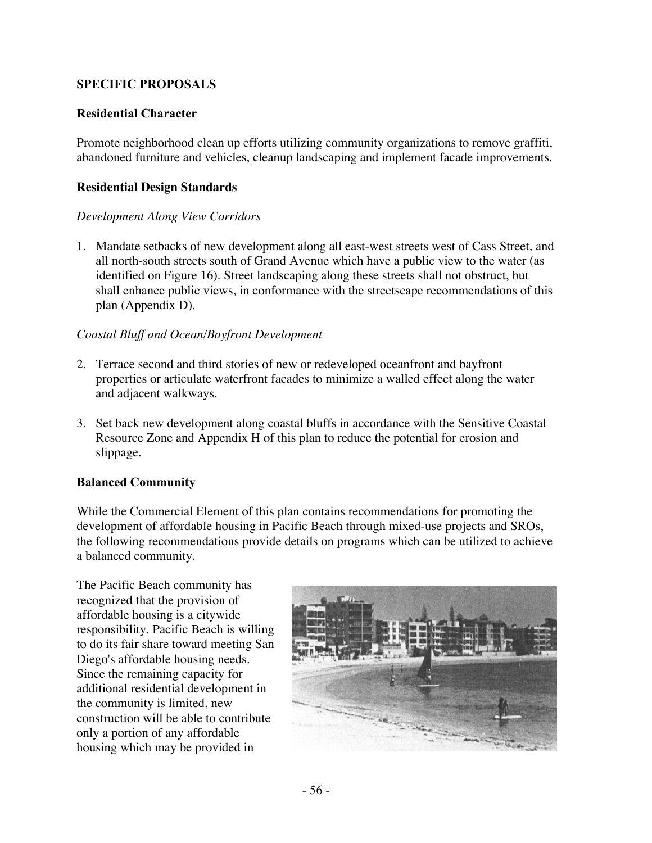#### **SPECIFIC PROPOSALS**

#### **Residential Character**

Promote neighborhood clean up efforts utilizing community organizations to remove graffiti, abandoned furniture and vehicles, cleanup landscaping and implement facade improvements.

#### **Residential Design Standards**

#### *Development Along View Corridors*

1. Mandate setbacks of new development along all east-west streets west of Cass Street, and all north-south streets south of Grand Avenue which have a public view to the water (as identified on Figure 16). Street landscaping along these streets shall not obstruct, but shall enhance public views, in conformance with the streetscape recommendations of this plan (Appendix D).

#### *Coastal Bluff and Ocean/Bayfront Development*

- 2. Terrace second and third stories of new or redeveloped oceanfront and bayfront properties or articulate waterfront facades to minimize a walled effect along the water and adjacent walkways.
- 3. Set back new development along coastal bluffs in accordance with the Sensitive Coastal Resource Zone and Appendix H of this plan to reduce the potential for erosion and slippage.

#### **Balanced Community**

While the Commercial Element of this plan contains recommendations for promoting the development of affordable housing in Pacific Beach through mixed-use projects and SROs, the following recommendations provide details on programs which can be utilized to achieve a balanced community.

The Pacific Beach community has recognized that the provision of affordable housing is a citywide responsibility. Pacific Beach is willing to do its fair share toward meeting San Diego's affordable housing needs. Since the remaining capacity for additional residential development in the community is limited, new construction will be able to contribute only a portion of any affordable housing which may be provided in

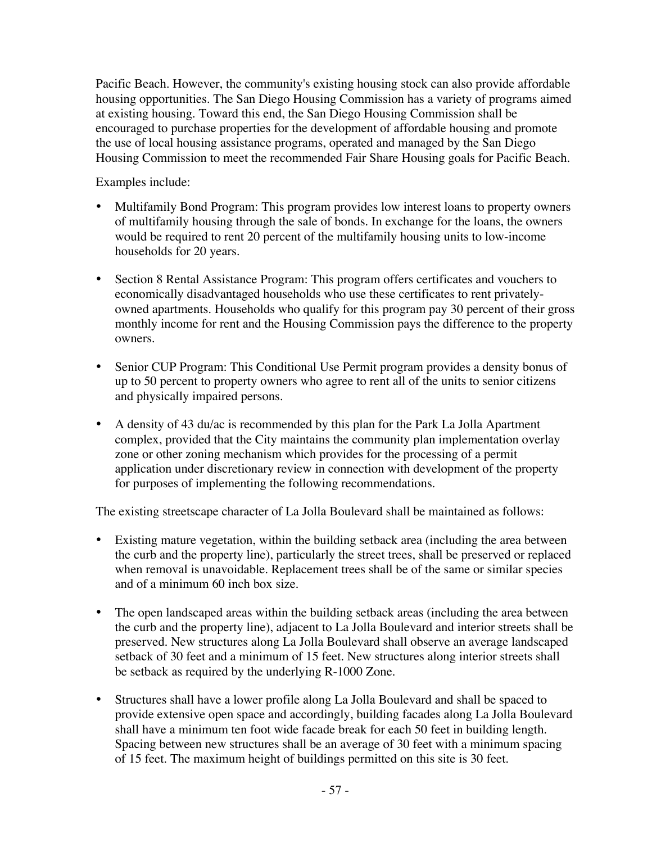Pacific Beach. However, the community's existing housing stock can also provide affordable housing opportunities. The San Diego Housing Commission has a variety of programs aimed at existing housing. Toward this end, the San Diego Housing Commission shall be encouraged to purchase properties for the development of affordable housing and promote the use of local housing assistance programs, operated and managed by the San Diego Housing Commission to meet the recommended Fair Share Housing goals for Pacific Beach.

Examples include:

- Multifamily Bond Program: This program provides low interest loans to property owners of multifamily housing through the sale of bonds. In exchange for the loans, the owners would be required to rent 20 percent of the multifamily housing units to low-income households for 20 years.
- Section 8 Rental Assistance Program: This program offers certificates and vouchers to economically disadvantaged households who use these certificates to rent privatelyowned apartments. Households who qualify for this program pay 30 percent of their gross monthly income for rent and the Housing Commission pays the difference to the property owners.
- Senior CUP Program: This Conditional Use Permit program provides a density bonus of up to 50 percent to property owners who agree to rent all of the units to senior citizens and physically impaired persons.
- A density of 43 du/ac is recommended by this plan for the Park La Jolla Apartment complex, provided that the City maintains the community plan implementation overlay zone or other zoning mechanism which provides for the processing of a permit application under discretionary review in connection with development of the property for purposes of implementing the following recommendations.

The existing streetscape character of La Jolla Boulevard shall be maintained as follows:

- Existing mature vegetation, within the building setback area (including the area between the curb and the property line), particularly the street trees, shall be preserved or replaced when removal is unavoidable. Replacement trees shall be of the same or similar species and of a minimum 60 inch box size.
- The open landscaped areas within the building setback areas (including the area between the curb and the property line), adjacent to La Jolla Boulevard and interior streets shall be preserved. New structures along La Jolla Boulevard shall observe an average landscaped setback of 30 feet and a minimum of 15 feet. New structures along interior streets shall be setback as required by the underlying R-1000 Zone.
- Structures shall have a lower profile along La Jolla Boulevard and shall be spaced to provide extensive open space and accordingly, building facades along La Jolla Boulevard shall have a minimum ten foot wide facade break for each 50 feet in building length. Spacing between new structures shall be an average of 30 feet with a minimum spacing of 15 feet. The maximum height of buildings permitted on this site is 30 feet.